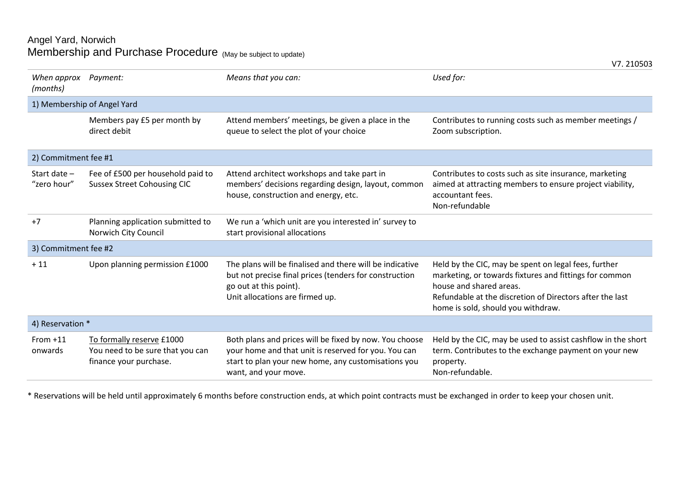## Angel Yard, Norwich Membership and Purchase Procedure  $\,_{\mathsf{ (May \ be \ subject \ to \ update) }}\,$

| When approx<br>(months)     | Payment:                                                                                | Means that you can:                                                                                                                                                                           | Used for:                                                                                                                                                                                                                                   |  |  |
|-----------------------------|-----------------------------------------------------------------------------------------|-----------------------------------------------------------------------------------------------------------------------------------------------------------------------------------------------|---------------------------------------------------------------------------------------------------------------------------------------------------------------------------------------------------------------------------------------------|--|--|
| 1) Membership of Angel Yard |                                                                                         |                                                                                                                                                                                               |                                                                                                                                                                                                                                             |  |  |
|                             | Members pay £5 per month by<br>direct debit                                             | Attend members' meetings, be given a place in the<br>queue to select the plot of your choice                                                                                                  | Contributes to running costs such as member meetings /<br>Zoom subscription.                                                                                                                                                                |  |  |
| 2) Commitment fee #1        |                                                                                         |                                                                                                                                                                                               |                                                                                                                                                                                                                                             |  |  |
| Start date -<br>"zero hour" | Fee of £500 per household paid to<br><b>Sussex Street Cohousing CIC</b>                 | Attend architect workshops and take part in<br>members' decisions regarding design, layout, common<br>house, construction and energy, etc.                                                    | Contributes to costs such as site insurance, marketing<br>aimed at attracting members to ensure project viability,<br>accountant fees.<br>Non-refundable                                                                                    |  |  |
| $+7$                        | Planning application submitted to<br>Norwich City Council                               | We run a 'which unit are you interested in' survey to<br>start provisional allocations                                                                                                        |                                                                                                                                                                                                                                             |  |  |
| 3) Commitment fee #2        |                                                                                         |                                                                                                                                                                                               |                                                                                                                                                                                                                                             |  |  |
| $+11$                       | Upon planning permission £1000                                                          | The plans will be finalised and there will be indicative<br>but not precise final prices (tenders for construction<br>go out at this point).<br>Unit allocations are firmed up.               | Held by the CIC, may be spent on legal fees, further<br>marketing, or towards fixtures and fittings for common<br>house and shared areas.<br>Refundable at the discretion of Directors after the last<br>home is sold, should you withdraw. |  |  |
| 4) Reservation *            |                                                                                         |                                                                                                                                                                                               |                                                                                                                                                                                                                                             |  |  |
| From $+11$<br>onwards       | To formally reserve £1000<br>You need to be sure that you can<br>finance your purchase. | Both plans and prices will be fixed by now. You choose<br>your home and that unit is reserved for you. You can<br>start to plan your new home, any customisations you<br>want, and your move. | Held by the CIC, may be used to assist cashflow in the short<br>term. Contributes to the exchange payment on your new<br>property.<br>Non-refundable.                                                                                       |  |  |

\* Reservations will be held until approximately 6 months before construction ends, at which point contracts must be exchanged in order to keep your chosen unit.